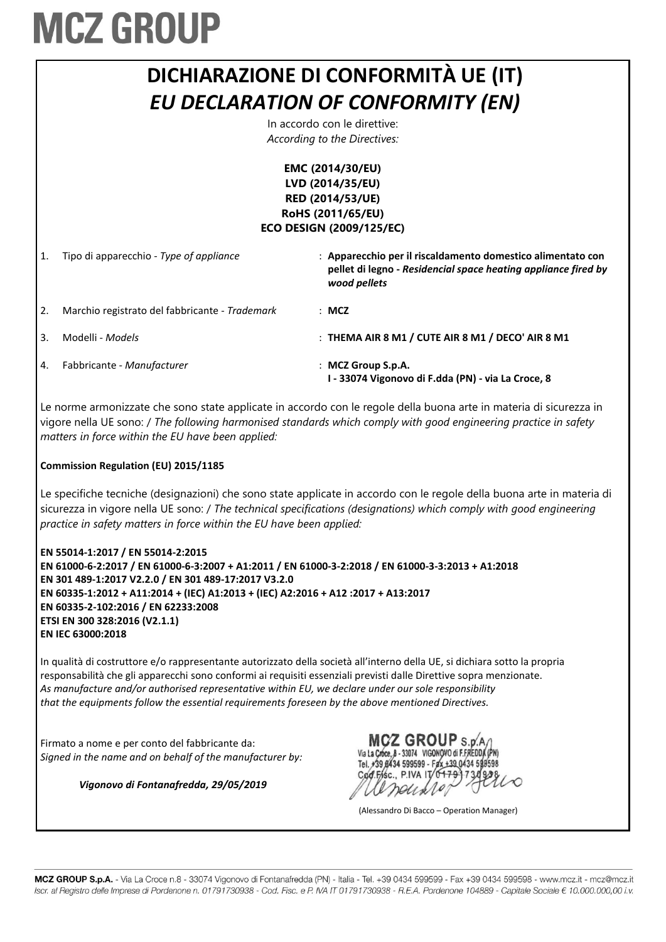

Le norme armonizzate che sono state applicate in accordo con le regole della buona arte in materia di sicurezza in vigore nella UE sono: / *The following harmonised standards which comply with good engineering practice in safety matters in force within the EU have been applied:*

#### **Commission Regulation (EU) 2015/1185**

Le specifiche tecniche (designazioni) che sono state applicate in accordo con le regole della buona arte in materia di sicurezza in vigore nella UE sono: / *The technical specifications (designations) which comply with good engineering practice in safety matters in force within the EU have been applied:*

**EN 55014-1:2017 / EN 55014-2:2015 EN 61000-6-2:2017 / EN 61000-6-3:2007 + A1:2011 / EN 61000-3-2:2018 / EN 61000-3-3:2013 + A1:2018 EN 301 489-1:2017 V2.2.0 / EN 301 489-17:2017 V3.2.0 EN 60335-1:2012 + A11:2014 + (IEC) A1:2013 + (IEC) A2:2016 + A12 :2017 + A13:2017 EN 60335-2-102:2016 / EN 62233:2008 ETSI EN 300 328:2016 (V2.1.1) EN IEC 63000:2018**

In qualità di costruttore e/o rappresentante autorizzato della società all'interno della UE, si dichiara sotto la propria responsabilità che gli apparecchi sono conformi ai requisiti essenziali previsti dalle Direttive sopra menzionate. *As manufacture and/or authorised representative within EU, we declare under our sole responsibility that the equipments follow the essential requirements foreseen by the above mentioned Directives.*

Firmato a nome e per conto del fabbricante da: *Signed in the name and on behalf of the manufacturer by:*

*Vigonovo di Fontanafredda, 29/05/2019*

**MCZ GROUP S.D.A** Via La Croce, B - 33074 VIGONOVO di F.FREDDA (PN) Tel. #39 8434 599599 - Fax +39 0434 598598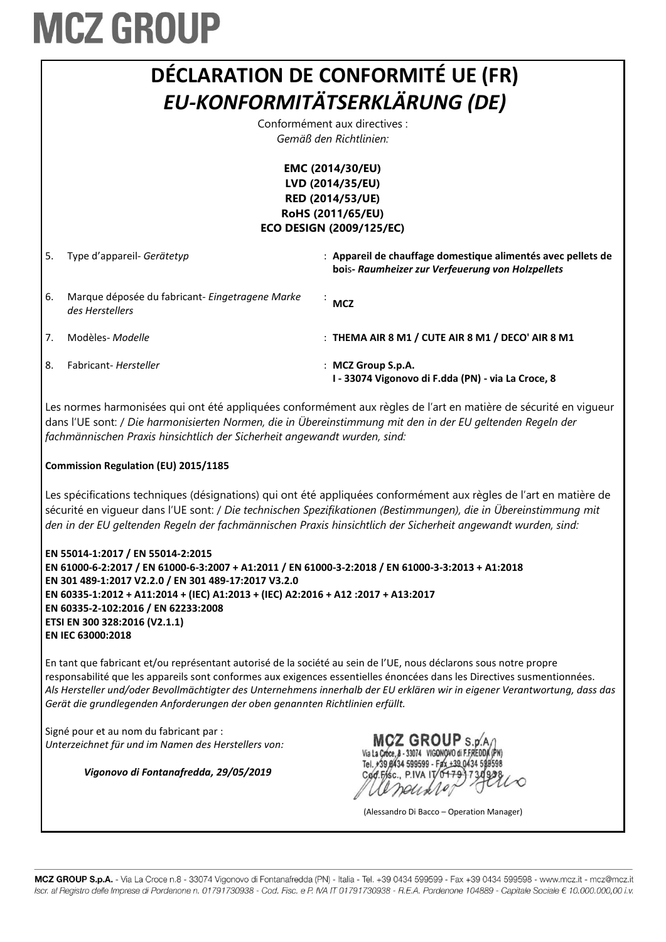

Les normes harmonisées qui ont été appliquées conformément aux règles de l'art en matière de sécurité en vigueur dans l'UE sont: / *Die harmonisierten Normen, die in Übereinstimmung mit den in der EU geltenden Regeln der fachmännischen Praxis hinsichtlich der Sicherheit angewandt wurden, sind:*

#### **Commission Regulation (EU) 2015/1185**

Les spécifications techniques (désignations) qui ont été appliquées conformément aux règles de l'art en matière de sécurité en vigueur dans l'UE sont: / *Die technischen Spezifikationen (Bestimmungen), die in Übereinstimmung mit den in der EU geltenden Regeln der fachmännischen Praxis hinsichtlich der Sicherheit angewandt wurden, sind:*

| EN 55014-1:2017 / EN 55014-2:2015                                                                 |
|---------------------------------------------------------------------------------------------------|
| EN 61000-6-2:2017 / EN 61000-6-3:2007 + A1:2011 / EN 61000-3-2:2018 / EN 61000-3-3:2013 + A1:2018 |
| EN 301 489-1:2017 V2.2.0 / EN 301 489-17:2017 V3.2.0                                              |
| EN 60335-1:2012 + A11:2014 + (IEC) A1:2013 + (IEC) A2:2016 + A12 :2017 + A13:2017                 |
| EN 60335-2-102:2016 / EN 62233:2008                                                               |
| ETSI EN 300 328:2016 (V2.1.1)                                                                     |
| EN IEC 63000:2018                                                                                 |

En tant que fabricant et/ou représentant autorisé de la société au sein de l'UE, nous déclarons sous notre propre responsabilité que les appareils sont conformes aux exigences essentielles énoncées dans les Directives susmentionnées. *Als Hersteller und/oder Bevollmächtigter des Unternehmens innerhalb der EU erklären wir in eigener Verantwortung, dass das Gerät die grundlegenden Anforderungen der oben genannten Richtlinien erfüllt.*

Signé pour et au nom du fabricant par : *Unterzeichnet für und im Namen des Herstellers von:*

*Vigonovo di Fontanafredda, 29/05/2019*

**MCZ GROUP** S.D.A 8 - 33074 VIGONOVO di F.FREDDA (PN)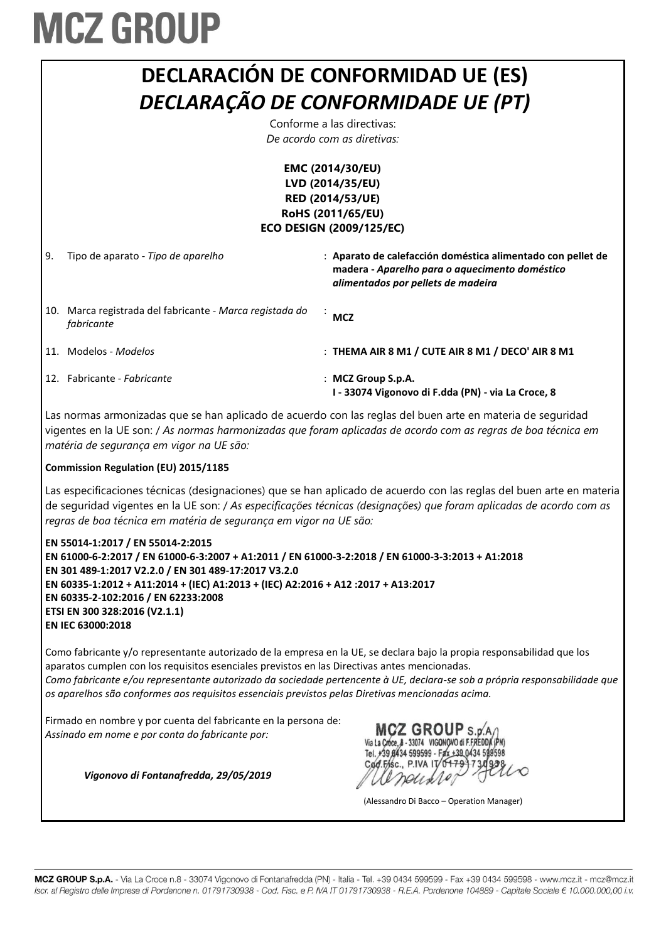

Las normas armonizadas que se han aplicado de acuerdo con las reglas del buen arte en materia de seguridad vigentes en la UE son: / *As normas harmonizadas que foram aplicadas de acordo com as regras de boa técnica em matéria de segurança em vigor na UE são:*

#### **Commission Regulation (EU) 2015/1185**

Las especificaciones técnicas (designaciones) que se han aplicado de acuerdo con las reglas del buen arte en materia de seguridad vigentes en la UE son: / *As especificações técnicas (designações) que foram aplicadas de acordo com as regras de boa técnica em matéria de segurança em vigor na UE são:*

| EN 55014-1:2017 / EN 55014-2:2015                                                                 |
|---------------------------------------------------------------------------------------------------|
| EN 61000-6-2:2017 / EN 61000-6-3:2007 + A1:2011 / EN 61000-3-2:2018 / EN 61000-3-3:2013 + A1:2018 |
| EN 301 489-1:2017 V2.2.0 / EN 301 489-17:2017 V3.2.0                                              |
| EN 60335-1:2012 + A11:2014 + (IEC) A1:2013 + (IEC) A2:2016 + A12 :2017 + A13:2017                 |
| EN 60335-2-102:2016 / EN 62233:2008                                                               |
| ETSI EN 300 328:2016 (V2.1.1)                                                                     |
| EN IEC 63000:2018                                                                                 |

Como fabricante y/o representante autorizado de la empresa en la UE, se declara bajo la propia responsabilidad que los aparatos cumplen con los requisitos esenciales previstos en las Directivas antes mencionadas. *Como fabricante e/ou representante autorizado da sociedade pertencente à UE, declara-se sob a própria responsabilidade que os aparelhos são conformes aos requisitos essenciais previstos pelas Diretivas mencionadas acima.*

Firmado en nombre y por cuenta del fabricante en la persona de: *Assinado em nome e por conta do fabricante por:*

*Vigonovo di Fontanafredda, 29/05/2019*

MCZ GROUP S.p. Via La Croce, 8 - 33074 VIGONOVO di F.FREDD. Tel. +39 8434 599599 - Fax +39 0434 599598 Cod.Fisc., P.IVA IT

(Alessandro Di Bacco – Operation Manager)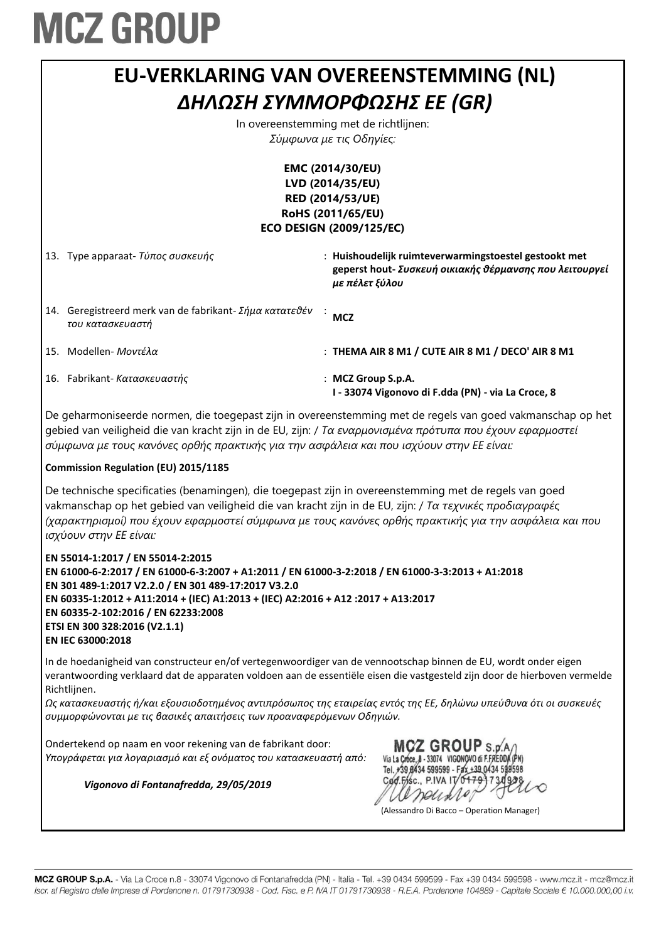| EU-VERKLARING VAN OVEREENSTEMMING (NL)                                                                                                                                                                                                                                                                                                                                          |                                                                                                                                    |  |  |
|---------------------------------------------------------------------------------------------------------------------------------------------------------------------------------------------------------------------------------------------------------------------------------------------------------------------------------------------------------------------------------|------------------------------------------------------------------------------------------------------------------------------------|--|--|
| ΔΗΛΩΣΗ ΣΥΜΜΟΡΦΩΣΗΣ ΕΕ (GR)                                                                                                                                                                                                                                                                                                                                                      |                                                                                                                                    |  |  |
|                                                                                                                                                                                                                                                                                                                                                                                 | In overeenstemming met de richtlijnen:                                                                                             |  |  |
| Σύμφωνα με τις Οδηγίες:                                                                                                                                                                                                                                                                                                                                                         |                                                                                                                                    |  |  |
| EMC (2014/30/EU)                                                                                                                                                                                                                                                                                                                                                                |                                                                                                                                    |  |  |
|                                                                                                                                                                                                                                                                                                                                                                                 | LVD (2014/35/EU)                                                                                                                   |  |  |
|                                                                                                                                                                                                                                                                                                                                                                                 | RED (2014/53/UE)                                                                                                                   |  |  |
|                                                                                                                                                                                                                                                                                                                                                                                 | RoHS (2011/65/EU)                                                                                                                  |  |  |
|                                                                                                                                                                                                                                                                                                                                                                                 | <b>ECO DESIGN (2009/125/EC)</b>                                                                                                    |  |  |
| 13. Type apparaat- Τύπος συσκευής                                                                                                                                                                                                                                                                                                                                               | : Huishoudelijk ruimteverwarmingstoestel gestookt met<br>geperst hout- Συσκευή οικιακής θέρμανσης που λειτουργεί<br>με πέλετ ξύλου |  |  |
| 14. Geregistreerd merk van de fabrikant- Σήμα κατατεθέν<br>του κατασκευαστή                                                                                                                                                                                                                                                                                                     | <b>MCZ</b>                                                                                                                         |  |  |
| 15. Modellen- Μοντέλα                                                                                                                                                                                                                                                                                                                                                           | : THEMA AIR 8 M1 / CUTE AIR 8 M1 / DECO' AIR 8 M1                                                                                  |  |  |
| 16. Fabrikant- Κατασκευαστής                                                                                                                                                                                                                                                                                                                                                    | : MCZ Group S.p.A.<br>I - 33074 Vigonovo di F.dda (PN) - via La Croce, 8                                                           |  |  |
| De geharmoniseerde normen, die toegepast zijn in overeenstemming met de regels van goed vakmanschap op het<br>gebied van veiligheid die van kracht zijn in de EU, zijn: / Τα εναρμονισμένα πρότυπα που έχουν εφαρμοστεί<br>σύμφωνα με τους κανόνες ορθής πρακτικής για την ασφάλεια και που ισχύουν στην ΕΕ είναι:                                                              |                                                                                                                                    |  |  |
| <b>Commission Regulation (EU) 2015/1185</b>                                                                                                                                                                                                                                                                                                                                     |                                                                                                                                    |  |  |
| De technische specificaties (benamingen), die toegepast zijn in overeenstemming met de regels van goed<br>vakmanschap op het gebied van veiligheid die van kracht zijn in de EU, zijn: / Τα τεχνικές προδιαγραφές<br>(χαρακτηρισμοί) που έχουν εφαρμοστεί σύμφωνα με τους κανόνες ορθής πρακτικής για την ασφάλεια και που<br>ισχύουν στην ΕΕ είναι:                            |                                                                                                                                    |  |  |
| EN 55014-1:2017 / EN 55014-2:2015<br>EN 61000-6-2:2017 / EN 61000-6-3:2007 + A1:2011 / EN 61000-3-2:2018 / EN 61000-3-3:2013 + A1:2018<br>EN 301 489-1:2017 V2.2.0 / EN 301 489-17:2017 V3.2.0<br>EN 60335-1:2012 + A11:2014 + (IEC) A1:2013 + (IEC) A2:2016 + A12:2017 + A13:2017<br>EN 60335-2-102:2016 / EN 62233:2008<br>ETSI EN 300 328:2016 (V2.1.1)<br>EN IEC 63000:2018 |                                                                                                                                    |  |  |

In de hoedanigheid van constructeur en/of vertegenwoordiger van de vennootschap binnen de EU, wordt onder eigen verantwoording verklaard dat de apparaten voldoen aan de essentiële eisen die vastgesteld zijn door de hierboven vermelde Richtlijnen.

*Ως κατασκευαστής ή/και εξουσιοδοτημένος αντιπρόσωπος της εταιρείας εντός της ΕΕ, δηλώνω υπεύθυνα ότι οι συσκευές συμμορφώνονται με τις βασικές απαιτήσεις των προαναφερόμενων Οδηγιών.*

Ondertekend op naam en voor rekening van de fabrikant door: *Υπογράφεται για λογαριασμό και εξ ονόματος του κατασκευαστή από:*

*Vigonovo di Fontanafredda, 29/05/2019*

MCZ GROUP S.p.A/ Via La Croce, 8 - 33074 VIGONOVO di F.FREDDA (PN) Tel. +39 8434 599599 - Fax +39 0434 599598 Cod.Fisc., P.IVA IT/0479 neuxior

(Alessandro Di Bacco – Operation Manager)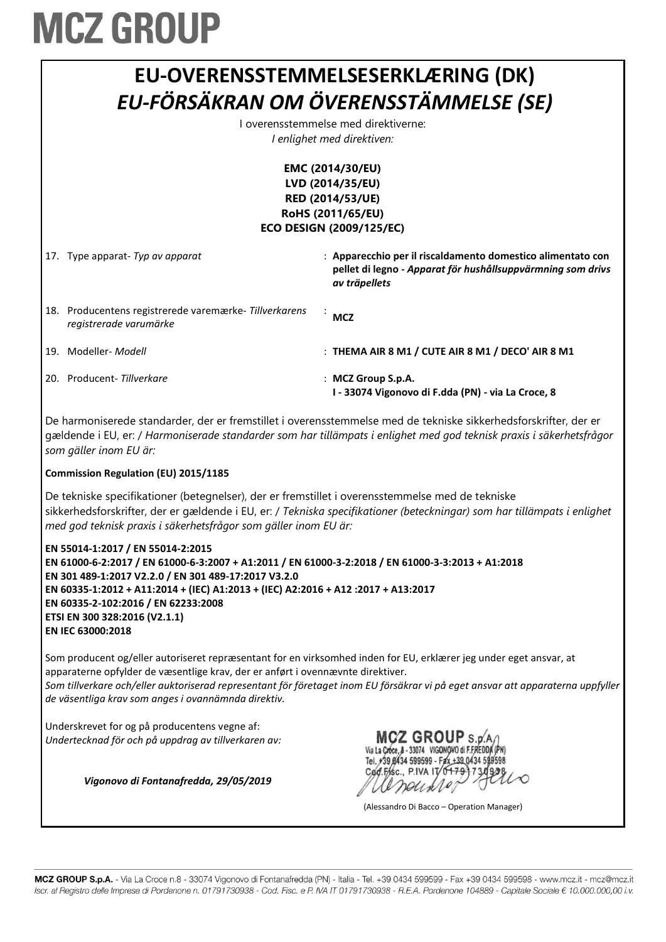

Underskrevet for og på producentens vegne af: *Undertecknad för och på uppdrag av tillverkaren av:*

*Vigonovo di Fontanafredda, 29/05/2019*

MCZ GROUP S.D.A. Via La Croce, 8 - 33074 VIGONOVO di F.FREDDA (PN) Tel. +39 8434 599599 - Fax +39 0434 598598 Cod Fisc. PIVA IT/0479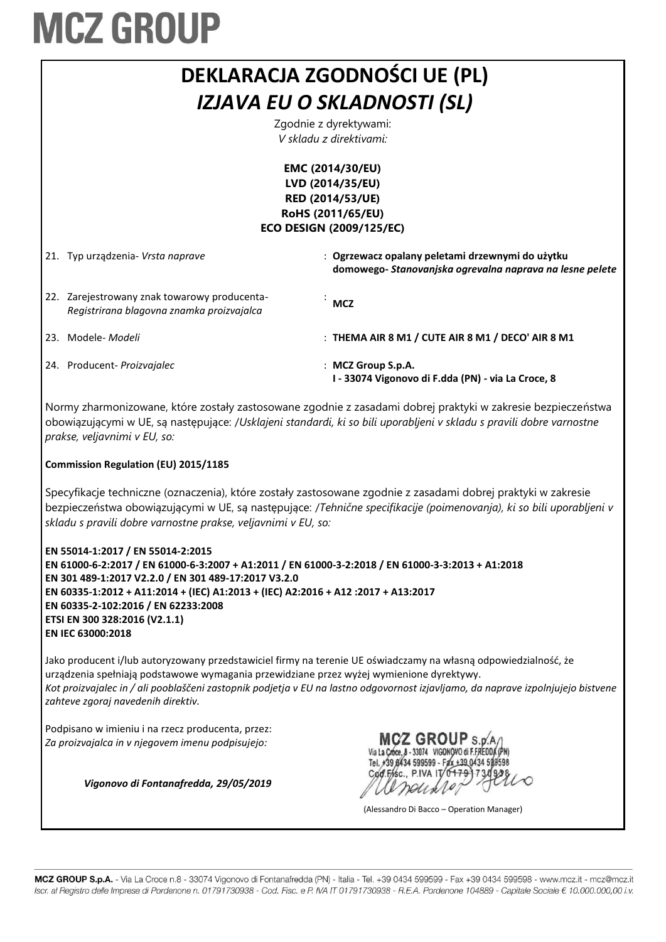|                                                   | <b>DEKLARACJA ZGODNOŚCI UE (PL)</b>                                                   |                                                                                                              |  |  |
|---------------------------------------------------|---------------------------------------------------------------------------------------|--------------------------------------------------------------------------------------------------------------|--|--|
|                                                   | IZJAVA EU O SKLADNOSTI (SL)                                                           |                                                                                                              |  |  |
| Zgodnie z dyrektywami:<br>V skladu z direktivami: |                                                                                       |                                                                                                              |  |  |
| EMC (2014/30/EU)                                  |                                                                                       |                                                                                                              |  |  |
|                                                   | LVD (2014/35/EU)                                                                      |                                                                                                              |  |  |
|                                                   |                                                                                       | <b>RED (2014/53/UE)</b>                                                                                      |  |  |
|                                                   |                                                                                       | RoHS (2011/65/EU)                                                                                            |  |  |
| <b>ECO DESIGN (2009/125/EC)</b>                   |                                                                                       |                                                                                                              |  |  |
| 21.                                               | Typ urządzenia- Vrsta naprave                                                         | : Ogrzewacz opalany peletami drzewnymi do użytku<br>domowego- Stanovanjska ogrevalna naprava na lesne pelete |  |  |
| 22.                                               | Zarejestrowany znak towarowy producenta-<br>Registrirana blagovna znamka proizvajalca | <b>MCZ</b>                                                                                                   |  |  |
| 23.                                               | Modele- <i>Modeli</i>                                                                 | : THEMA AIR 8 M1 / CUTE AIR 8 M1 / DECO' AIR 8 M1                                                            |  |  |
|                                                   | 24. Producent- Proizvajalec                                                           | : MCZ Group S.p.A.<br>I - 33074 Vigonovo di F.dda (PN) - via La Croce, 8                                     |  |  |

Normy zharmonizowane, które zostały zastosowane zgodnie z zasadami dobrej praktyki w zakresie bezpieczeństwa obowiązującymi w UE, są następujące: /*Usklajeni standardi, ki so bili uporabljeni v skladu s pravili dobre varnostne prakse, veljavnimi v EU, so:*

#### **Commission Regulation (EU) 2015/1185**

Specyfikacje techniczne (oznaczenia), które zostały zastosowane zgodnie z zasadami dobrej praktyki w zakresie bezpieczeństwa obowiązującymi w UE, są następujące: /*Tehnične specifikacije (poimenovanja), ki so bili uporabljeni v skladu s pravili dobre varnostne prakse, veljavnimi v EU, so:*

**EN 55014-1:2017 / EN 55014-2:2015 EN 61000-6-2:2017 / EN 61000-6-3:2007 + A1:2011 / EN 61000-3-2:2018 / EN 61000-3-3:2013 + A1:2018 EN 301 489-1:2017 V2.2.0 / EN 301 489-17:2017 V3.2.0 EN 60335-1:2012 + A11:2014 + (IEC) A1:2013 + (IEC) A2:2016 + A12 :2017 + A13:2017 EN 60335-2-102:2016 / EN 62233:2008 ETSI EN 300 328:2016 (V2.1.1) EN IEC 63000:2018**

Jako producent i/lub autoryzowany przedstawiciel firmy na terenie UE oświadczamy na własną odpowiedzialność, że urządzenia spełniają podstawowe wymagania przewidziane przez wyżej wymienione dyrektywy. *Kot proizvajalec in / ali pooblaščeni zastopnik podjetja v EU na lastno odgovornost izjavljamo, da naprave izpolnjujejo bistvene zahteve zgoraj navedenih direktiv.*

Podpisano w imieniu i na rzecz producenta, przez: *Za proizvajalca in v njegovem imenu podpisujejo:*

*Vigonovo di Fontanafredda, 29/05/2019*

**MCZ GROUP** S.p.A. Via La Croce, 8 - 33074 VIGONOVO di F.FREDDA (PN) Tel. +39 8434 599599 - Fax +39 0434 598598

(Alessandro Di Bacco – Operation Manager)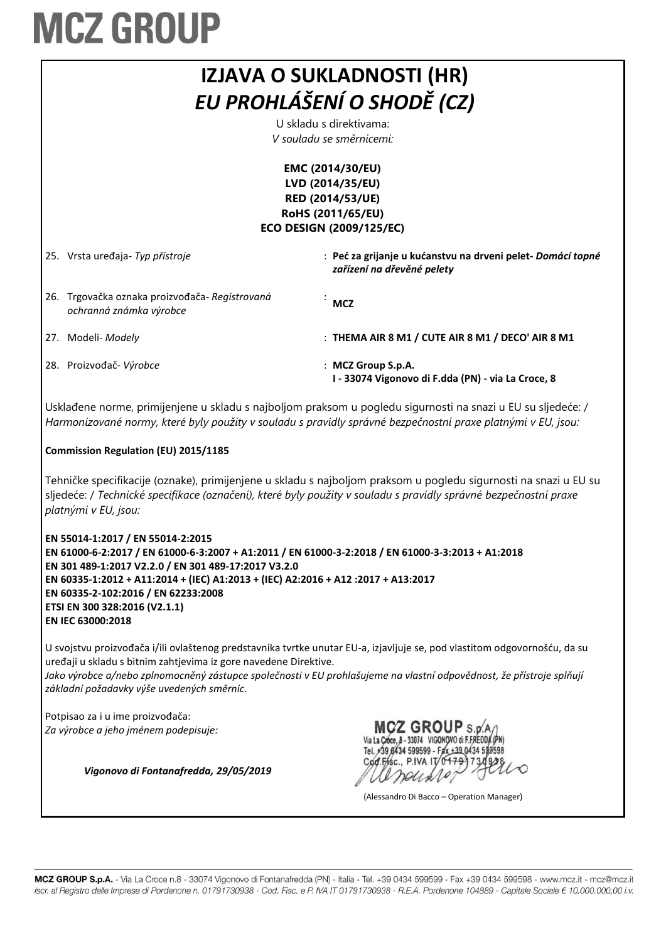| <b>IZJAVA O SUKLADNOSTI (HR)</b><br>EU PROHLÁŠENÍ O SHODĚ (CZ)<br>U skladu s direktivama:<br>V souladu se směrnicemi:                                                                                                                                        |                                                                                           |  |
|--------------------------------------------------------------------------------------------------------------------------------------------------------------------------------------------------------------------------------------------------------------|-------------------------------------------------------------------------------------------|--|
| EMC (2014/30/EU)<br>LVD (2014/35/EU)<br>RED (2014/53/UE)<br>RoHS (2011/65/EU)<br><b>ECO DESIGN (2009/125/EC)</b>                                                                                                                                             |                                                                                           |  |
| 25. Vrsta uređaja- Typ přístroje                                                                                                                                                                                                                             | : Peć za grijanje u kućanstvu na drveni pelet- Domácí topné<br>zařízení na dřevěné pelety |  |
| 26. Trgovačka oznaka proizvođača-Registrovaná<br>ochranná známka výrobce                                                                                                                                                                                     | <b>MCZ</b>                                                                                |  |
| 27. Modeli- Modely                                                                                                                                                                                                                                           | : THEMA AIR 8 M1 / CUTE AIR 8 M1 / DECO' AIR 8 M1                                         |  |
| 28. Proizvođač-Výrobce                                                                                                                                                                                                                                       | : MCZ Group S.p.A.<br>I - 33074 Vigonovo di F.dda (PN) - via La Croce, 8                  |  |
| Usklađene norme, primijenjene u skladu s najboljom praksom u pogledu sigurnosti na snazi u EU su sljedeće: /<br>Harmonizované normy, které byly použity v souladu s pravidly správné bezpečnostní praxe platnými v EU, jsou:                                 |                                                                                           |  |
| <b>Commission Regulation (EU) 2015/1185</b>                                                                                                                                                                                                                  |                                                                                           |  |
| Tehničke specifikacije (oznake), primijenjene u skladu s najboljom praksom u pogledu sigurnosti na snazi u EU su<br>sljedeće: / Technické specifikace (označení), které byly použity v souladu s pravidly správné bezpečnostní praxe<br>platnými v EU, jsou: |                                                                                           |  |
| EN 55014-1:2017 / EN 55014-2:2015<br>EN 61000-6-2:2017 / EN 61000-6-3:2007 + A1:2011 / EN 61000-3-2:2018 / EN 61000-3-3:2013 + A1:2018                                                                                                                       |                                                                                           |  |

**EN 61000-6-2:2017 / EN 61000-6-3:2007 + A1:2011 / EN 61000-3-2:2018 / EN 61000-3-3:2013 + A1:2018 EN 301 489-1:2017 V2.2.0 / EN 301 489-17:2017 V3.2.0 EN 60335-1:2012 + A11:2014 + (IEC) A1:2013 + (IEC) A2:2016 + A12 :2017 + A13:2017 EN 60335-2-102:2016 / EN 62233:2008 ETSI EN 300 328:2016 (V2.1.1) EN IEC 63000:2018**

U svojstvu proizvođača i/ili ovlaštenog predstavnika tvrtke unutar EU-a, izjavljuje se, pod vlastitom odgovornošću, da su uređaji u skladu s bitnim zahtjevima iz gore navedene Direktive.

*Jako výrobce a/nebo zplnomocněný zástupce společnosti v EU prohlašujeme na vlastní odpovědnost, že přístroje splňují základní požadavky výše uvedených směrnic.*

Potpisao za i u ime proizvođača: *Za výrobce a jeho jménem podepisuje:*

*Vigonovo di Fontanafredda, 29/05/2019*

**MCZ GROUP S.D.A.** Via La Croce, 8 - 33074 VIGONOVO di F.FREDDA (PN) Tel. +39 8434 599599 - Fax +39 0434 599598 Cod.Fisc., P.IVA IT/0479 neuxio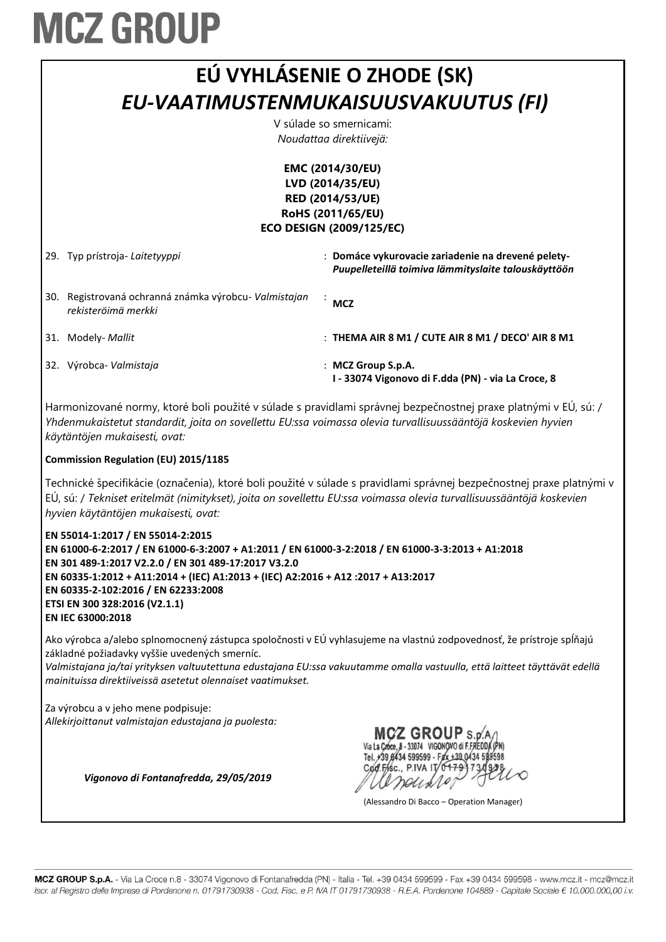| EÚ VYHLÁSENIE O ZHODE (SK)           |
|--------------------------------------|
|                                      |
| EU-VAATIMUSTENMUKAISUUSVAKUUTUS (FI) |
| V súlade so smernicami:              |
| Noudattaa direktiivejä:              |

**EMC (2014/30/EU) LVD (2014/35/EU) RED (2014/53/UE) RoHS (2011/65/EU) ECO DESIGN (2009/125/EC)**

29. Typ prístroja- *Laitetyyppi* : **Domáce vykurovacie zariadenie na drevené pelety-***Puupelleteillä toimiva lämmityslaite talouskäyttöön* 30. Registrovaná ochranná známka výrobcu- *Valmistajan rekisteröimä merkki* : **MCZ** 31. Modely- *Mallit* : **THEMA AIR 8 M1 / CUTE AIR 8 M1 / DECO' AIR 8 M1** 32. Výrobca- *Valmistaja* : **MCZ Group S.p.A. I - 33074 Vigonovo di F.dda (PN) - via La Croce, 8**

Harmonizované normy, ktoré boli použité v súlade s pravidlami správnej bezpečnostnej praxe platnými v EÚ, sú: / *Yhdenmukaistetut standardit, joita on sovellettu EU:ssa voimassa olevia turvallisuussääntöjä koskevien hyvien käytäntöjen mukaisesti, ovat:*

#### **Commission Regulation (EU) 2015/1185**

Technické špecifikácie (označenia), ktoré boli použité v súlade s pravidlami správnej bezpečnostnej praxe platnými v EÚ, sú: / *Tekniset eritelmät (nimitykset), joita on sovellettu EU:ssa voimassa olevia turvallisuussääntöjä koskevien hyvien käytäntöjen mukaisesti, ovat:*

**EN 55014-1:2017 / EN 55014-2:2015 EN 61000-6-2:2017 / EN 61000-6-3:2007 + A1:2011 / EN 61000-3-2:2018 / EN 61000-3-3:2013 + A1:2018 EN 301 489-1:2017 V2.2.0 / EN 301 489-17:2017 V3.2.0 EN 60335-1:2012 + A11:2014 + (IEC) A1:2013 + (IEC) A2:2016 + A12 :2017 + A13:2017 EN 60335-2-102:2016 / EN 62233:2008 ETSI EN 300 328:2016 (V2.1.1) EN IEC 63000:2018**

Ako výrobca a/alebo splnomocnený zástupca spoločnosti v EÚ vyhlasujeme na vlastnú zodpovednosť, že prístroje spĺňajú základné požiadavky vyššie uvedených smerníc.

*Valmistajana ja/tai yrityksen valtuutettuna edustajana EU:ssa vakuutamme omalla vastuulla, että laitteet täyttävät edellä mainituissa direktiiveissä asetetut olennaiset vaatimukset.*

Za výrobcu a v jeho mene podpisuje: *Allekirjoittanut valmistajan edustajana ja puolesta:*



(Alessandro Di Bacco – Operation Manager)

*Vigonovo di Fontanafredda, 29/05/2019*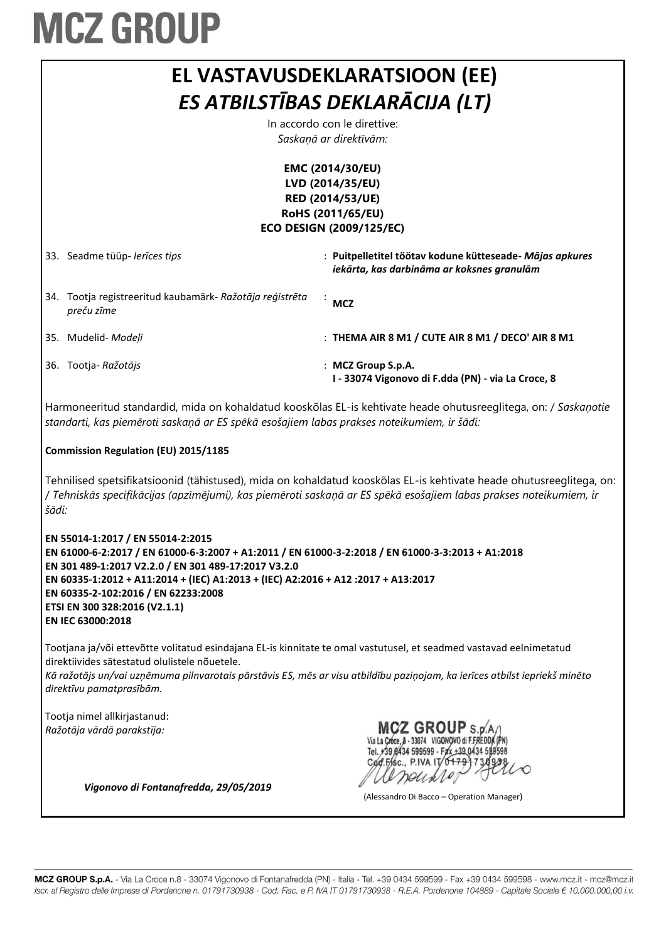|                                                                                                                  |                                                                                                                                                                                                                                                                                                                                                                                 | EL VASTAVUSDEKLARATSIOON (EE)<br>ES ATBILSTĪBAS DEKLARĀCIJA (LT)<br>In accordo con le direttive:<br>Saskaņā ar direktīvām:                                                                                                                        |  |
|------------------------------------------------------------------------------------------------------------------|---------------------------------------------------------------------------------------------------------------------------------------------------------------------------------------------------------------------------------------------------------------------------------------------------------------------------------------------------------------------------------|---------------------------------------------------------------------------------------------------------------------------------------------------------------------------------------------------------------------------------------------------|--|
| EMC (2014/30/EU)<br>LVD (2014/35/EU)<br>RED (2014/53/UE)<br>RoHS (2011/65/EU)<br><b>ECO DESIGN (2009/125/EC)</b> |                                                                                                                                                                                                                                                                                                                                                                                 |                                                                                                                                                                                                                                                   |  |
|                                                                                                                  | 33. Seadme tüüp- lerīces tips                                                                                                                                                                                                                                                                                                                                                   | : Puitpelletitel töötav kodune kütteseade- Mājas apkures<br>iekārta, kas darbināma ar koksnes granulām                                                                                                                                            |  |
|                                                                                                                  | 34. Tootja registreeritud kaubamärk- Ražotāja reģistrēta<br>preču zīme                                                                                                                                                                                                                                                                                                          | <b>MCZ</b>                                                                                                                                                                                                                                        |  |
|                                                                                                                  | 35. Mudelid- Modeļi                                                                                                                                                                                                                                                                                                                                                             | : THEMA AIR 8 M1 / CUTE AIR 8 M1 / DECO' AIR 8 M1                                                                                                                                                                                                 |  |
|                                                                                                                  | 36. Tootja-Ražotājs                                                                                                                                                                                                                                                                                                                                                             | : MCZ Group S.p.A.<br>I - 33074 Vigonovo di F.dda (PN) - via La Croce, 8                                                                                                                                                                          |  |
|                                                                                                                  | Harmoneeritud standardid, mida on kohaldatud kooskõlas EL-is kehtivate heade ohutusreeglitega, on: / Saskaņotie<br>standarti, kas piemēroti saskaņā ar ES spēkā esošajiem labas prakses noteikumiem, ir šādi:                                                                                                                                                                   |                                                                                                                                                                                                                                                   |  |
|                                                                                                                  | <b>Commission Regulation (EU) 2015/1185</b>                                                                                                                                                                                                                                                                                                                                     |                                                                                                                                                                                                                                                   |  |
|                                                                                                                  |                                                                                                                                                                                                                                                                                                                                                                                 |                                                                                                                                                                                                                                                   |  |
| šādi:                                                                                                            |                                                                                                                                                                                                                                                                                                                                                                                 | Tehnilised spetsifikatsioonid (tähistused), mida on kohaldatud kooskõlas EL-is kehtivate heade ohutusreeglitega, on:<br>/ Tehniskās specifikācijas (apzīmējumi), kas piemēroti saskaņā ar ES spēkā esošajiem labas prakses noteikumiem, ir        |  |
|                                                                                                                  | EN 55014-1:2017 / EN 55014-2:2015<br>EN 61000-6-2:2017 / EN 61000-6-3:2007 + A1:2011 / EN 61000-3-2:2018 / EN 61000-3-3:2013 + A1:2018<br>EN 301 489-1:2017 V2.2.0 / EN 301 489-17:2017 V3.2.0<br>EN 60335-1:2012 + A11:2014 + (IEC) A1:2013 + (IEC) A2:2016 + A12:2017 + A13:2017<br>EN 60335-2-102:2016 / EN 62233:2008<br>ETSI EN 300 328:2016 (V2.1.1)<br>EN IEC 63000:2018 |                                                                                                                                                                                                                                                   |  |
|                                                                                                                  | direktiivides sätestatud olulistele nõuetele.<br>direktīvu pamatprasībām.                                                                                                                                                                                                                                                                                                       | Tootjana ja/või ettevõtte volitatud esindajana EL-is kinnitate te omal vastutusel, et seadmed vastavad eelnimetatud<br>Kā ražotājs un/vai uzņēmuma pilnvarotais pārstāvis ES, mēs ar visu atbildību paziņojam, ka ierīces atbilst iepriekš minēto |  |

(Alessandro Di Bacco – Operation Manager)

*Vigonovo di Fontanafredda, 29/05/2019*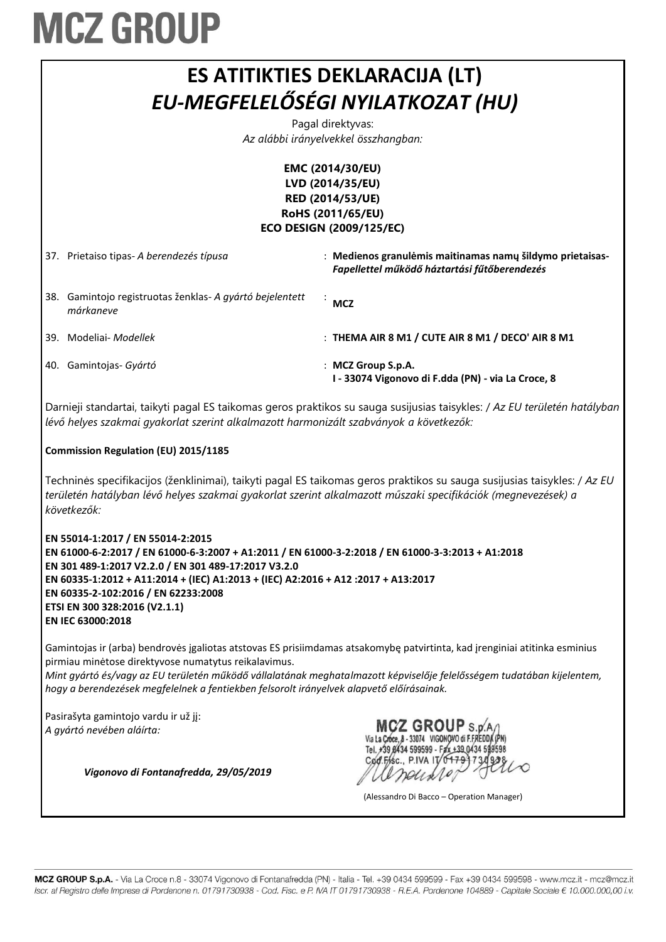#### **ES ATITIKTIES DEKLARACIJA (LT)** *EU-MEGFELELŐSÉGI NYILATKOZAT (HU)*

Pagal direktyvas: *Az alábbi irányelvekkel összhangban:*

#### **EMC (2014/30/EU) LVD (2014/35/EU) RED (2014/53/UE) RoHS (2011/65/EU) ECO DESIGN (2009/125/EC)**

37. Prietaiso tipas- *A berendezés típusa* : **Medienos granulėmis maitinamas namų šildymo prietaisas-***Fapellettel működő háztartási fűtőberendezés* 38. Gamintojo registruotas ženklas- *A gyártó bejelentett márkaneve* : **MCZ** 39. Modeliai- *Modellek* : **THEMA AIR 8 M1 / CUTE AIR 8 M1 / DECO' AIR 8 M1** 40. Gamintojas- *Gyártó* : **MCZ Group S.p.A. I - 33074 Vigonovo di F.dda (PN) - via La Croce, 8**

Darnieji standartai, taikyti pagal ES taikomas geros praktikos su sauga susijusias taisykles: / *Az EU területén hatályban lévő helyes szakmai gyakorlat szerint alkalmazott harmonizált szabványok a következők:*

#### **Commission Regulation (EU) 2015/1185**

Techninės specifikacijos (ženklinimai), taikyti pagal ES taikomas geros praktikos su sauga susijusias taisykles: / *Az EU területén hatályban lévő helyes szakmai gyakorlat szerint alkalmazott műszaki specifikációk (megnevezések) a következők:*

**EN 55014-1:2017 / EN 55014-2:2015 EN 61000-6-2:2017 / EN 61000-6-3:2007 + A1:2011 / EN 61000-3-2:2018 / EN 61000-3-3:2013 + A1:2018 EN 301 489-1:2017 V2.2.0 / EN 301 489-17:2017 V3.2.0 EN 60335-1:2012 + A11:2014 + (IEC) A1:2013 + (IEC) A2:2016 + A12 :2017 + A13:2017 EN 60335-2-102:2016 / EN 62233:2008 ETSI EN 300 328:2016 (V2.1.1) EN IEC 63000:2018**

Gamintojas ir (arba) bendrovės įgaliotas atstovas ES prisiimdamas atsakomybę patvirtinta, kad įrenginiai atitinka esminius pirmiau minėtose direktyvose numatytus reikalavimus.

*Mint gyártó és/vagy az EU területén működő vállalatának meghatalmazott képviselője felelősségem tudatában kijelentem, hogy a berendezések megfelelnek a fentiekben felsorolt irányelvek alapvető előírásainak.*

Pasirašyta gamintojo vardu ir už jį: *A gyártó nevében aláírta:*

*Vigonovo di Fontanafredda, 29/05/2019*

**MCZ GROUP S.p.A** Via La Croce, 8 - 33074 VIGONOVO di F.FREDDA (PN) Tel. +39 8434 599599 - Fax +39 0434 598598 Cod.Fisc., P.IVA IT/0479

(Alessandro Di Bacco – Operation Manager)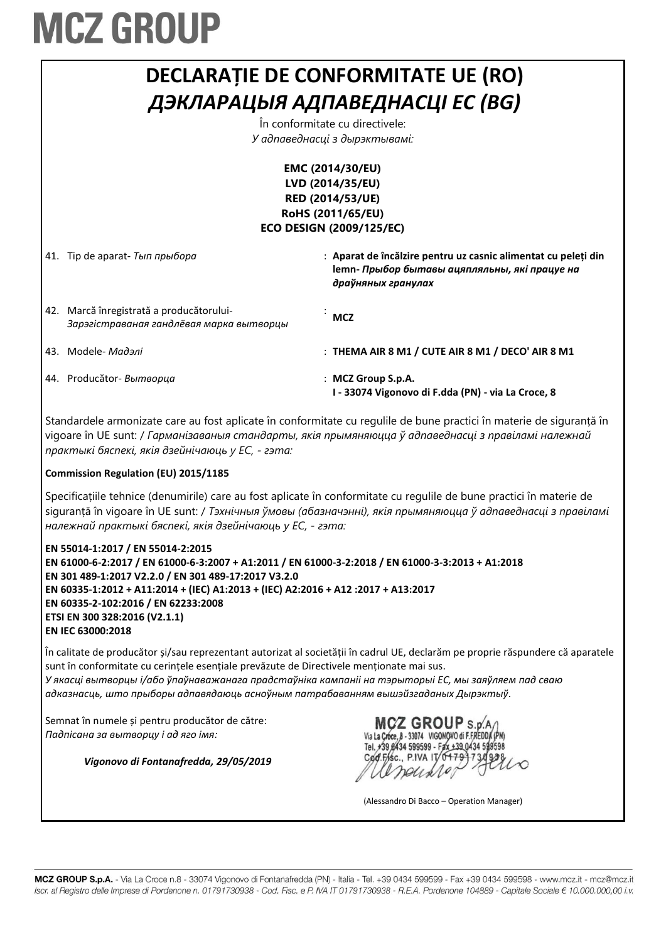

vigoare în UE sunt: / *Гарманізаваныя стандарты, якія прымяняюцца ў адпаведнасці з правіламі належнай практыкі бяспекі, якія дзейнічаюць у ЕС, - гэта:*

#### **Commission Regulation (EU) 2015/1185**

Specificațiile tehnice (denumirile) care au fost aplicate în conformitate cu regulile de bune practici în materie de siguranță în vigoare în UE sunt: / *Тэхнічныя ўмовы (абазначэнні), якія прымяняюцца ў адпаведнасці з правіламі належнай практыкі бяспекі, якія дзейнічаюць у ЕС, - гэта:*

**EN 55014-1:2017 / EN 55014-2:2015 EN 61000-6-2:2017 / EN 61000-6-3:2007 + A1:2011 / EN 61000-3-2:2018 / EN 61000-3-3:2013 + A1:2018 EN 301 489-1:2017 V2.2.0 / EN 301 489-17:2017 V3.2.0 EN 60335-1:2012 + A11:2014 + (IEC) A1:2013 + (IEC) A2:2016 + A12 :2017 + A13:2017 EN 60335-2-102:2016 / EN 62233:2008 ETSI EN 300 328:2016 (V2.1.1) EN IEC 63000:2018**

În calitate de producător și/sau reprezentant autorizat al societății în cadrul UE, declarăm pe proprie răspundere că aparatele sunt în conformitate cu cerințele esențiale prevăzute de Directivele menționate mai sus. *У якасцi вытворцы і/або ўпаўнаважанага прадстаўніка кампаніі на тэрыторыі ЕС, мы заяўляем пад сваю адказнасць, што прыборы адпавядаюць асноўным патрабаванням вышэйзгаданых Дырэктыў.*

Semnat în numele și pentru producător de către: *Падпісана за вытворцу і ад яго імя:*

*Vigonovo di Fontanafredda, 29/05/2019*

MCZ GROUP S.p.A. Via La Croce, 8 - 33074 VIGONOVO di F.FREDDA Tel. +39 8434 599599 - Fax +39 0434 599598 Cod.Fisc., P.IVA IT/04

(Alessandro Di Bacco – Operation Manager)